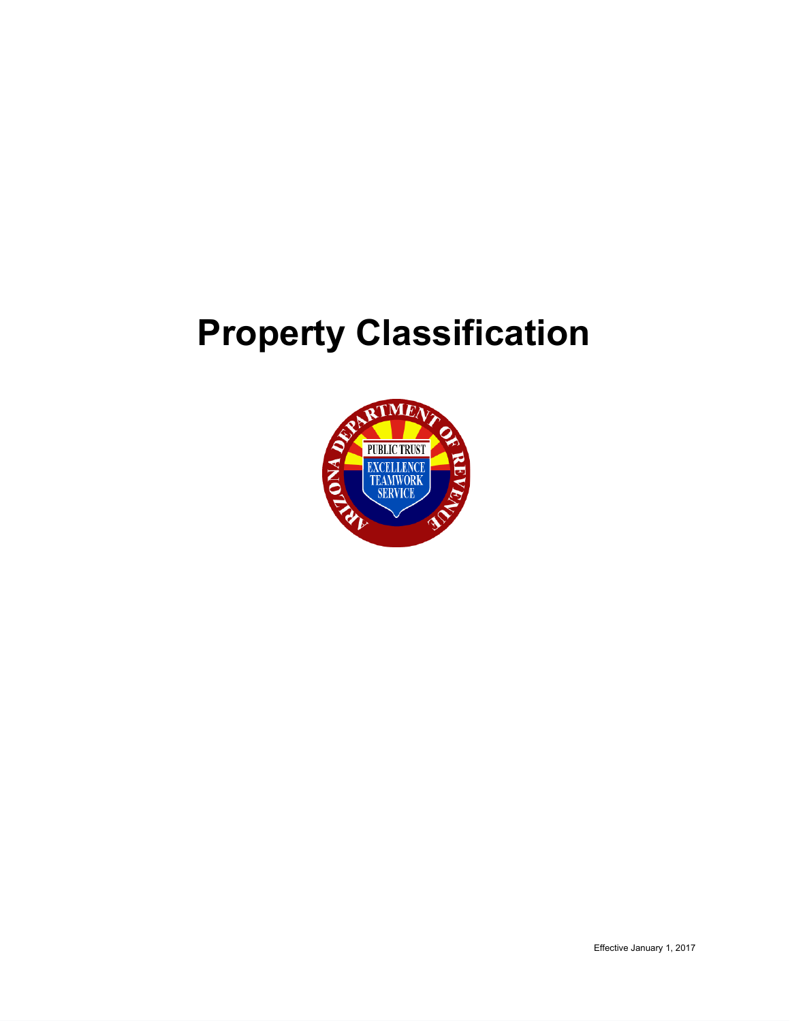# **Property Classification**

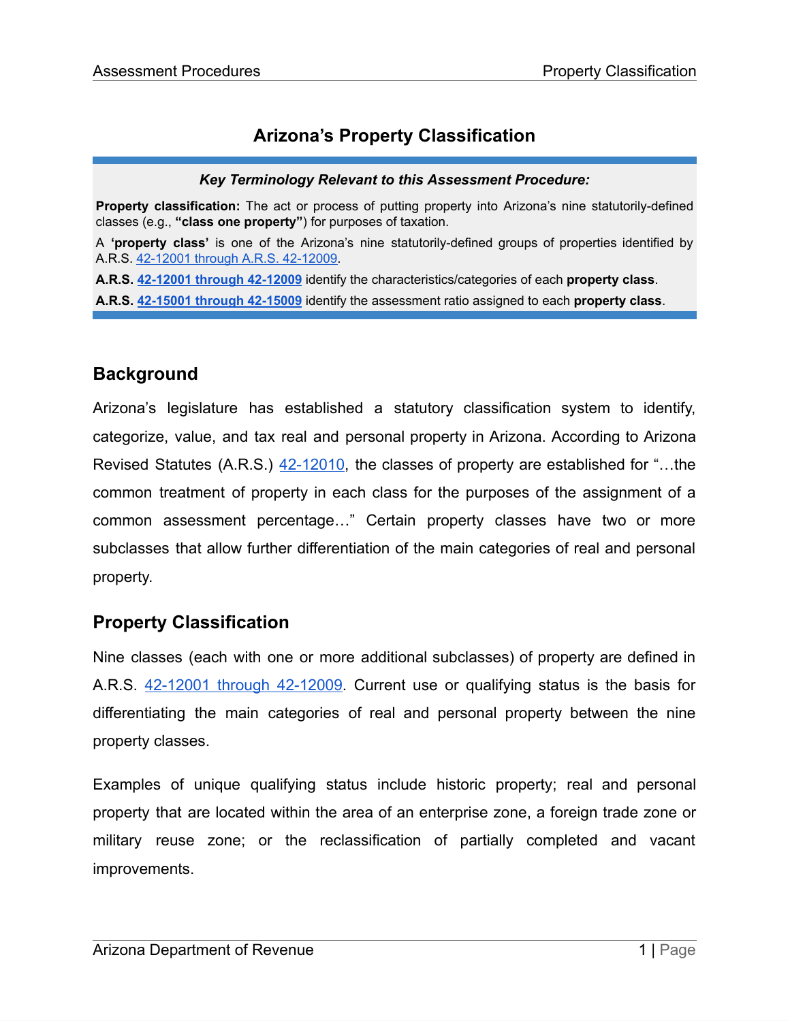# **Arizona's Property Classification**

#### *Key Terminology Relevant to this Assessment Procedure:*

**Property classification:** The act or process of putting property into Arizona's nine statutorily-defined classes (e.g., **"class one property"**) for purposes of taxation.

A **'property class'** is one of the Arizona's nine statutorily-defined groups of properties identified by A.R.S. 42-12001 through A.R.S. [42-12009.](https://www.azleg.gov/viewdocument/?docName=https://www.azleg.gov/ars/42/12001.htm)

**A.R.S. [42-12001](https://www.azleg.gov/viewdocument/?docName=https://www.azleg.gov/ars/42/12001.htm) through 42-12009** identify the characteristics/categories of each **property class**.

**A.R.S. [42-15001](https://www.azleg.gov/viewdocument/?docName=https://www.azleg.gov/ars/42/15001.htm) through 42-15009** identify the assessment ratio assigned to each **property class**.

# **Background**

Arizona's legislature has established a statutory classification system to identify, categorize, value, and tax real and personal property in Arizona. According to Arizona Revised Statutes (A.R.S.) [42-12010](https://www.azleg.gov/viewDocument/?docName=http://www.azleg.gov/ars/42/12010.htm), the classes of property are established for "…the common treatment of property in each class for the purposes of the assignment of a common assessment percentage…" Certain property classes have two or more subclasses that allow further differentiation of the main categories of real and personal property.

# **Property Classification**

Nine classes (each with one or more additional subclasses) of property are defined in A.R.S. 42-12001 through [42-12009.](https://www.azleg.gov/viewdocument/?docName=https://www.azleg.gov/ars/42/12001.htm) Current use or qualifying status is the basis for differentiating the main categories of real and personal property between the nine property classes.

Examples of unique qualifying status include historic property; real and personal property that are located within the area of an enterprise zone, a foreign trade zone or military reuse zone; or the reclassification of partially completed and vacant improvements.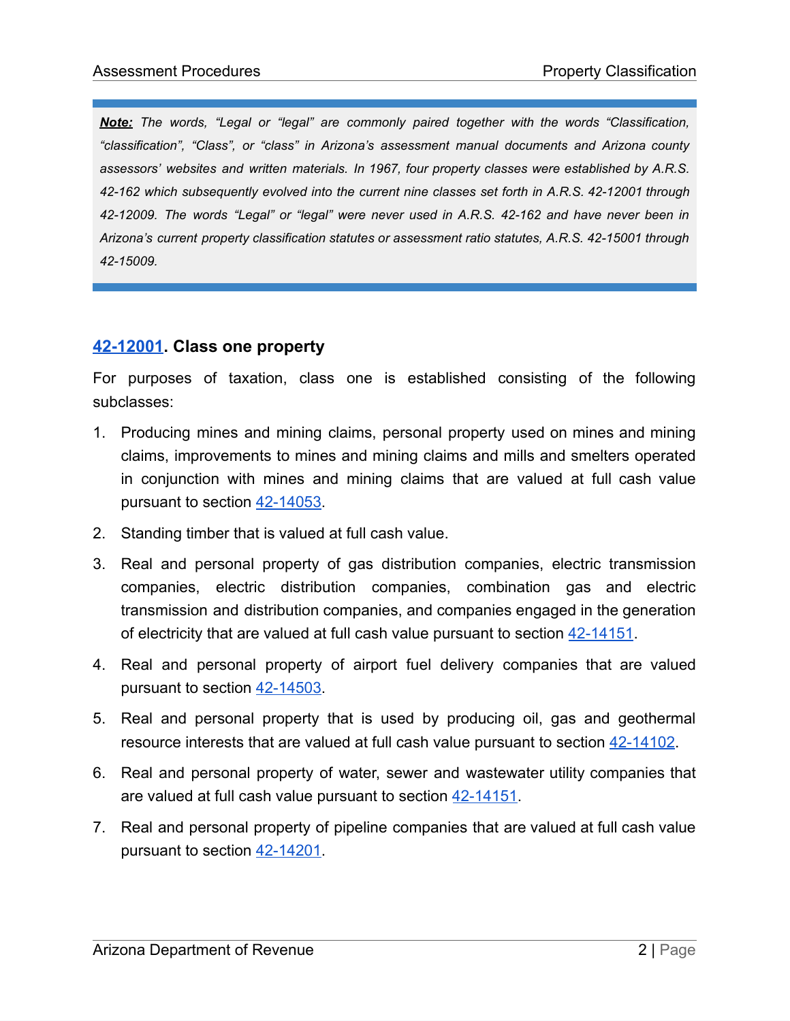*Note: The words, "Legal or "legal" are commonly paired together with the words "Classification, "classification", "Class", or "class" in Arizona's assessment manual documents and Arizona county assessors' websites and written materials. In 1967, four property classes were established by A.R.S. 42-162 which subsequently evolved into the current nine classes set forth in A.R.S. 42-12001 through 42-12009. The words "Legal" or "legal" were never used in A.R.S. 42-162 and have never been in Arizona's current property classification statutes or assessment ratio statutes, A.R.S. 42-15001 through 42-15009.*

### **[42-12001.](https://www.azleg.gov/viewdocument/?docName=https://www.azleg.gov/ars/42/12001.htm) Class one property**

For purposes of taxation, class one is established consisting of the following subclasses:

- 1. Producing mines and mining claims, personal property used on mines and mining claims, improvements to mines and mining claims and mills and smelters operated in conjunction with mines and mining claims that are valued at full cash value pursuant to section [42-14053](https://www.azleg.gov/viewDocument/?docName=http://www.azleg.gov/ars/42/14053.htm).
- 2. Standing timber that is valued at full cash value.
- 3. Real and personal property of gas distribution companies, electric transmission companies, electric distribution companies, combination gas and electric transmission and distribution companies, and companies engaged in the generation of electricity that are valued at full cash value pursuant to section [42-14151](https://www.azleg.gov/viewDocument/?docName=http://www.azleg.gov/ars/42/14151.htm).
- 4. Real and personal property of airport fuel delivery companies that are valued pursuant to section [42-14503](https://www.azleg.gov/viewdocument/?docName=https://www.azleg.gov/ars/42/14503.htm).
- 5. Real and personal property that is used by producing oil, gas and geothermal resource interests that are valued at full cash value pursuant to section [42-14102.](https://www.azleg.gov/viewDocument/?docName=http://www.azleg.gov/ars/42/14102.htm)
- 6. Real and personal property of water, sewer and wastewater utility companies that are valued at full cash value pursuant to section [42-14151](https://www.azleg.gov/viewDocument/?docName=http://www.azleg.gov/ars/42/14151.htm).
- 7. Real and personal property of pipeline companies that are valued at full cash value pursuant to section [42-14201](https://www.azleg.gov/viewDocument/?docName=http://www.azleg.gov/ars/42/14201.htm).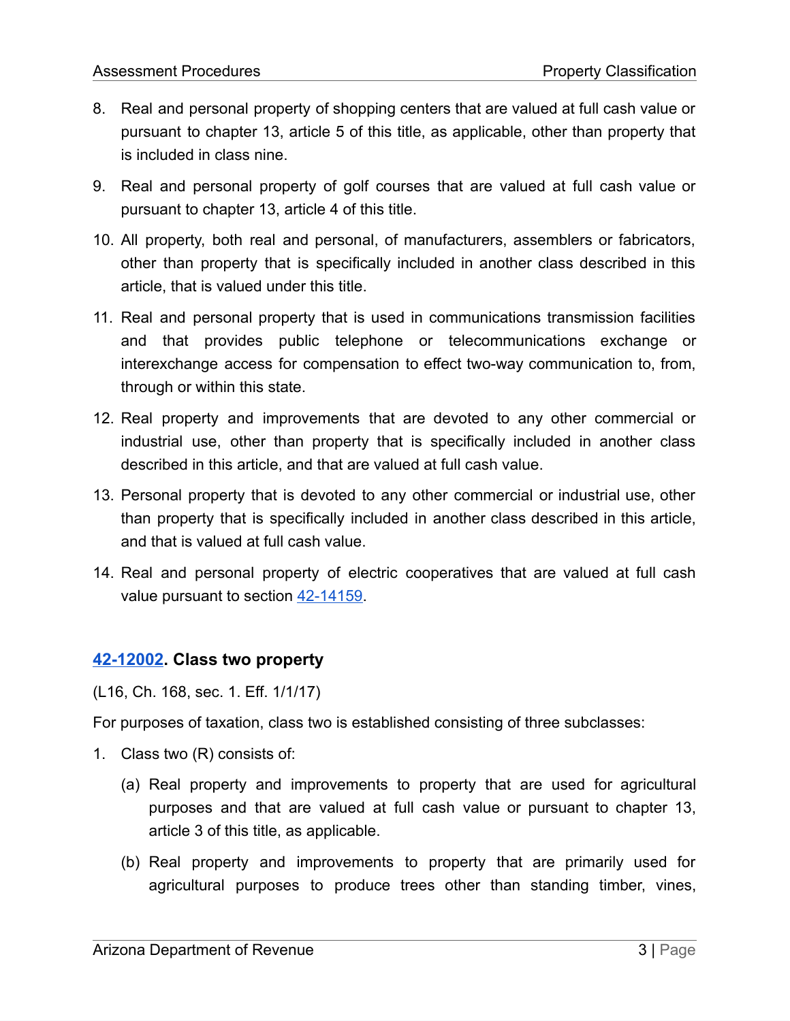- 8. Real and personal property of shopping centers that are valued at full cash value or pursuant to chapter 13, article 5 of this title, as applicable, other than property that is included in class nine.
- 9. Real and personal property of golf courses that are valued at full cash value or pursuant to chapter 13, article 4 of this title.
- 10. All property, both real and personal, of manufacturers, assemblers or fabricators, other than property that is specifically included in another class described in this article, that is valued under this title.
- 11. Real and personal property that is used in communications transmission facilities and that provides public telephone or telecommunications exchange or interexchange access for compensation to effect two-way communication to, from, through or within this state.
- 12. Real property and improvements that are devoted to any other commercial or industrial use, other than property that is specifically included in another class described in this article, and that are valued at full cash value.
- 13. Personal property that is devoted to any other commercial or industrial use, other than property that is specifically included in another class described in this article, and that is valued at full cash value.
- 14. Real and personal property of electric cooperatives that are valued at full cash value pursuant to section [42-14159](https://www.azleg.gov/viewDocument/?docName=http://www.azleg.gov/ars/42/14159.htm).

### **[42-12002.](https://www.azleg.gov/viewdocument/?docName=https://www.azleg.gov/ars/42/12002.htm) Class two property**

(L16, Ch. 168, sec. 1. Eff. 1/1/17)

For purposes of taxation, class two is established consisting of three subclasses:

- 1. Class two (R) consists of:
	- (a) Real property and improvements to property that are used for agricultural purposes and that are valued at full cash value or pursuant to chapter 13, article 3 of this title, as applicable.
	- (b) Real property and improvements to property that are primarily used for agricultural purposes to produce trees other than standing timber, vines,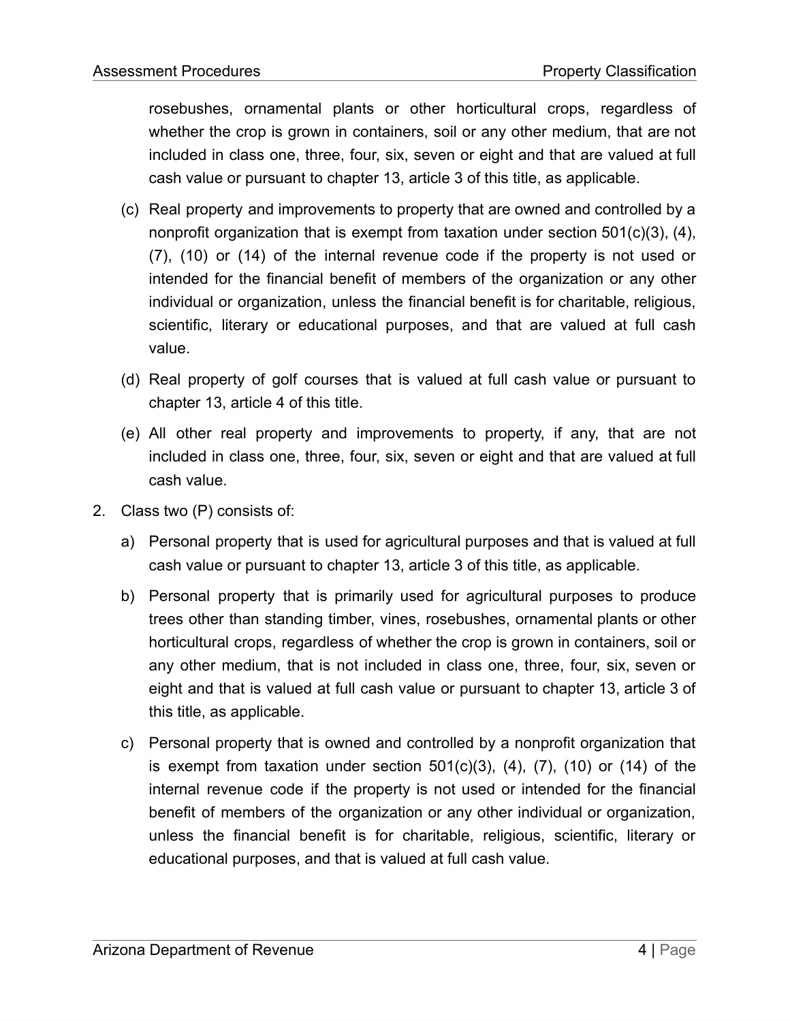rosebushes, ornamental plants or other horticultural crops, regardless of whether the crop is grown in containers, soil or any other medium, that are not included in class one, three, four, six, seven or eight and that are valued at full cash value or pursuant to chapter 13, article 3 of this title, as applicable.

- (c) Real property and improvements to property that are owned and controlled by a nonprofit organization that is exempt from taxation under section 501(c)(3), (4), (7), (10) or (14) of the internal revenue code if the property is not used or intended for the financial benefit of members of the organization or any other individual or organization, unless the financial benefit is for charitable, religious, scientific, literary or educational purposes, and that are valued at full cash value.
- (d) Real property of golf courses that is valued at full cash value or pursuant to chapter 13, article 4 of this title.
- (e) All other real property and improvements to property, if any, that are not included in class one, three, four, six, seven or eight and that are valued at full cash value.
- 2. Class two (P) consists of:
	- a) Personal property that is used for agricultural purposes and that is valued at full cash value or pursuant to chapter 13, article 3 of this title, as applicable.
	- b) Personal property that is primarily used for agricultural purposes to produce trees other than standing timber, vines, rosebushes, ornamental plants or other horticultural crops, regardless of whether the crop is grown in containers, soil or any other medium, that is not included in class one, three, four, six, seven or eight and that is valued at full cash value or pursuant to chapter 13, article 3 of this title, as applicable.
	- c) Personal property that is owned and controlled by a nonprofit organization that is exempt from taxation under section  $501(c)(3)$ ,  $(4)$ ,  $(7)$ ,  $(10)$  or  $(14)$  of the internal revenue code if the property is not used or intended for the financial benefit of members of the organization or any other individual or organization, unless the financial benefit is for charitable, religious, scientific, literary or educational purposes, and that is valued at full cash value.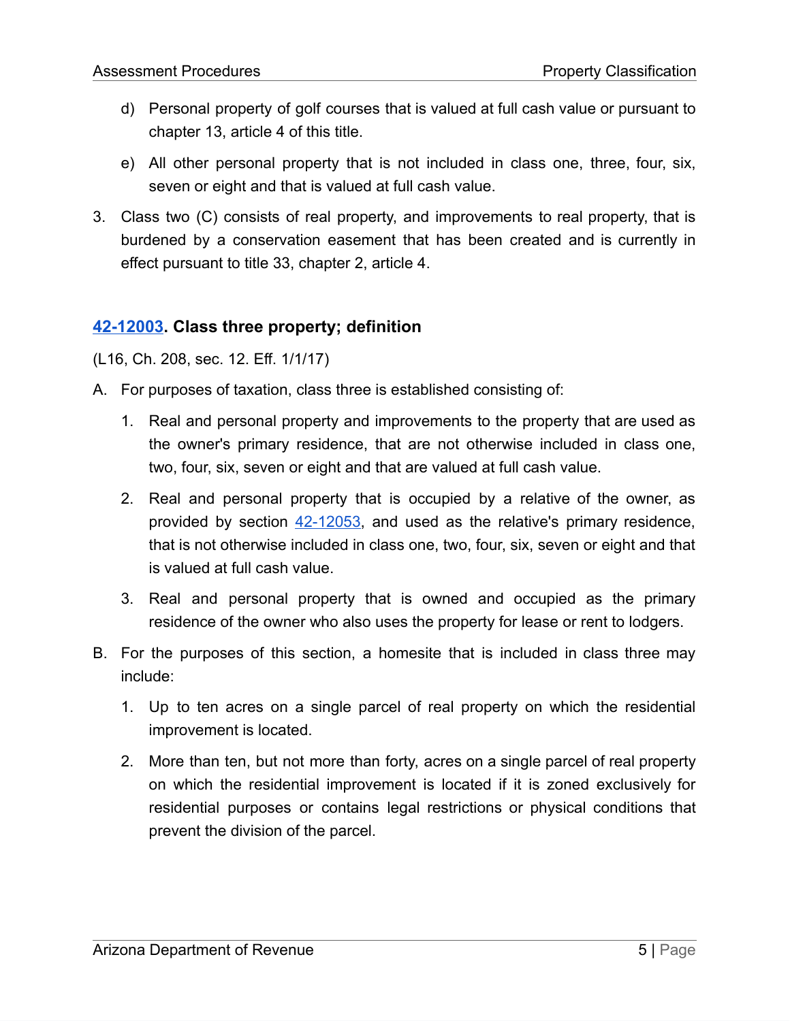- d) Personal property of golf courses that is valued at full cash value or pursuant to chapter 13, article 4 of this title.
- e) All other personal property that is not included in class one, three, four, six, seven or eight and that is valued at full cash value.
- 3. Class two (C) consists of real property, and improvements to real property, that is burdened by a conservation easement that has been created and is currently in effect pursuant to title 33, chapter 2, article 4.

### **[42-12003.](https://www.azleg.gov/viewdocument/?docName=https://www.azleg.gov/ars/42/12003.htm) Class three property; definition**

(L16, Ch. 208, sec. 12. Eff. 1/1/17)

- A. For purposes of taxation, class three is established consisting of:
	- 1. Real and personal property and improvements to the property that are used as the owner's primary residence, that are not otherwise included in class one, two, four, six, seven or eight and that are valued at full cash value.
	- 2. Real and personal property that is occupied by a relative of the owner, as provided by section [42-12053,](https://www.azleg.gov/viewDocument/?docName=http://www.azleg.gov/ars/42/12053.htm) and used as the relative's primary residence, that is not otherwise included in class one, two, four, six, seven or eight and that is valued at full cash value.
	- 3. Real and personal property that is owned and occupied as the primary residence of the owner who also uses the property for lease or rent to lodgers.
- B. For the purposes of this section, a homesite that is included in class three may include:
	- 1. Up to ten acres on a single parcel of real property on which the residential improvement is located.
	- 2. More than ten, but not more than forty, acres on a single parcel of real property on which the residential improvement is located if it is zoned exclusively for residential purposes or contains legal restrictions or physical conditions that prevent the division of the parcel.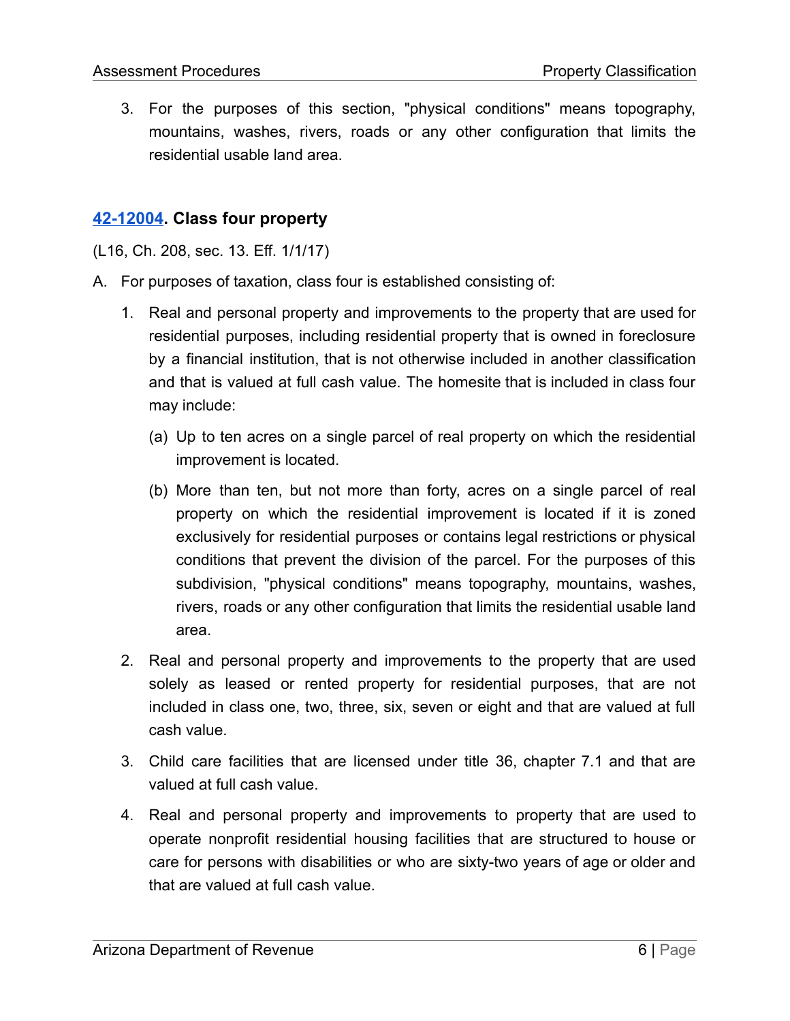3. For the purposes of this section, "physical conditions" means topography, mountains, washes, rivers, roads or any other configuration that limits the residential usable land area.

### **[42-12004.](https://www.azleg.gov/viewdocument/?docName=https://www.azleg.gov/ars/42/12004.htm) Class four property**

(L16, Ch. 208, sec. 13. Eff. 1/1/17)

- A. For purposes of taxation, class four is established consisting of:
	- 1. Real and personal property and improvements to the property that are used for residential purposes, including residential property that is owned in foreclosure by a financial institution, that is not otherwise included in another classification and that is valued at full cash value. The homesite that is included in class four may include:
		- (a) Up to ten acres on a single parcel of real property on which the residential improvement is located.
		- (b) More than ten, but not more than forty, acres on a single parcel of real property on which the residential improvement is located if it is zoned exclusively for residential purposes or contains legal restrictions or physical conditions that prevent the division of the parcel. For the purposes of this subdivision, "physical conditions" means topography, mountains, washes, rivers, roads or any other configuration that limits the residential usable land area.
	- 2. Real and personal property and improvements to the property that are used solely as leased or rented property for residential purposes, that are not included in class one, two, three, six, seven or eight and that are valued at full cash value.
	- 3. Child care facilities that are licensed under title 36, chapter 7.1 and that are valued at full cash value.
	- 4. Real and personal property and improvements to property that are used to operate nonprofit residential housing facilities that are structured to house or care for persons with disabilities or who are sixty-two years of age or older and that are valued at full cash value.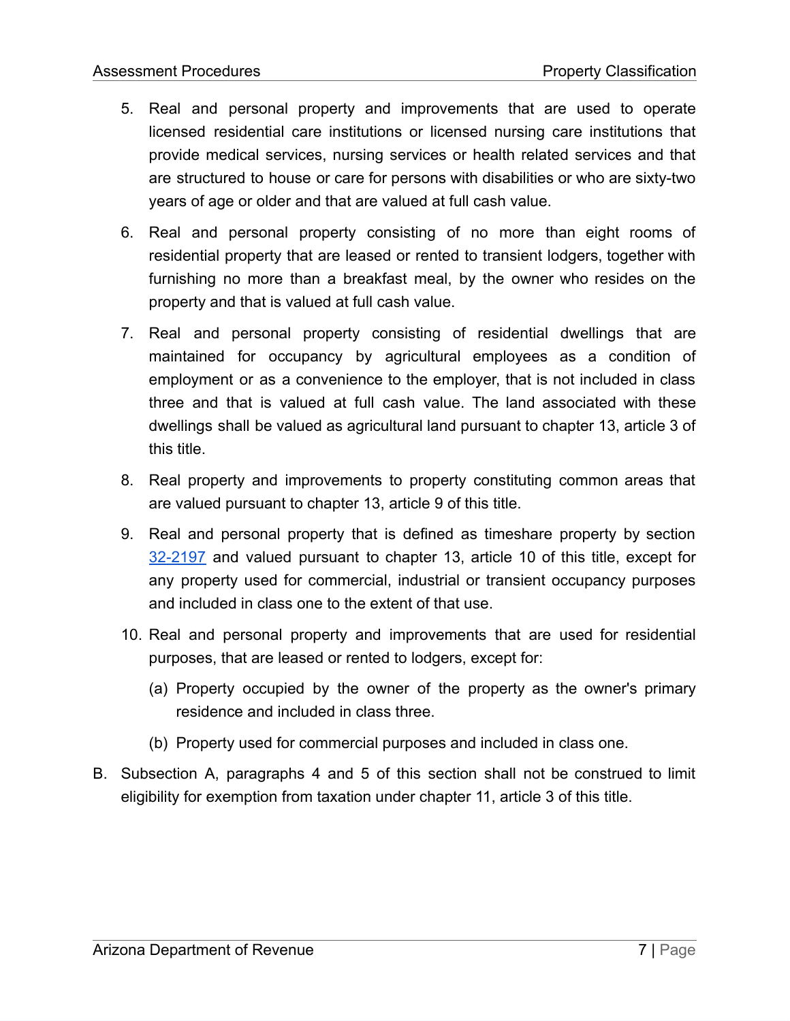- 5. Real and personal property and improvements that are used to operate licensed residential care institutions or licensed nursing care institutions that provide medical services, nursing services or health related services and that are structured to house or care for persons with disabilities or who are sixty-two years of age or older and that are valued at full cash value.
- 6. Real and personal property consisting of no more than eight rooms of residential property that are leased or rented to transient lodgers, together with furnishing no more than a breakfast meal, by the owner who resides on the property and that is valued at full cash value.
- 7. Real and personal property consisting of residential dwellings that are maintained for occupancy by agricultural employees as a condition of employment or as a convenience to the employer, that is not included in class three and that is valued at full cash value. The land associated with these dwellings shall be valued as agricultural land pursuant to chapter 13, article 3 of this title.
- 8. Real property and improvements to property constituting common areas that are valued pursuant to chapter 13, article 9 of this title.
- 9. Real and personal property that is defined as timeshare property by section [32-2197](https://www.azleg.gov/viewDocument/?docName=http://www.azleg.gov/ars/32/02197.htm) and valued pursuant to chapter 13, article 10 of this title, except for any property used for commercial, industrial or transient occupancy purposes and included in class one to the extent of that use.
- 10. Real and personal property and improvements that are used for residential purposes, that are leased or rented to lodgers, except for:
	- (a) Property occupied by the owner of the property as the owner's primary residence and included in class three.
	- (b) Property used for commercial purposes and included in class one.
- B. Subsection A, paragraphs 4 and 5 of this section shall not be construed to limit eligibility for exemption from taxation under chapter 11, article 3 of this title.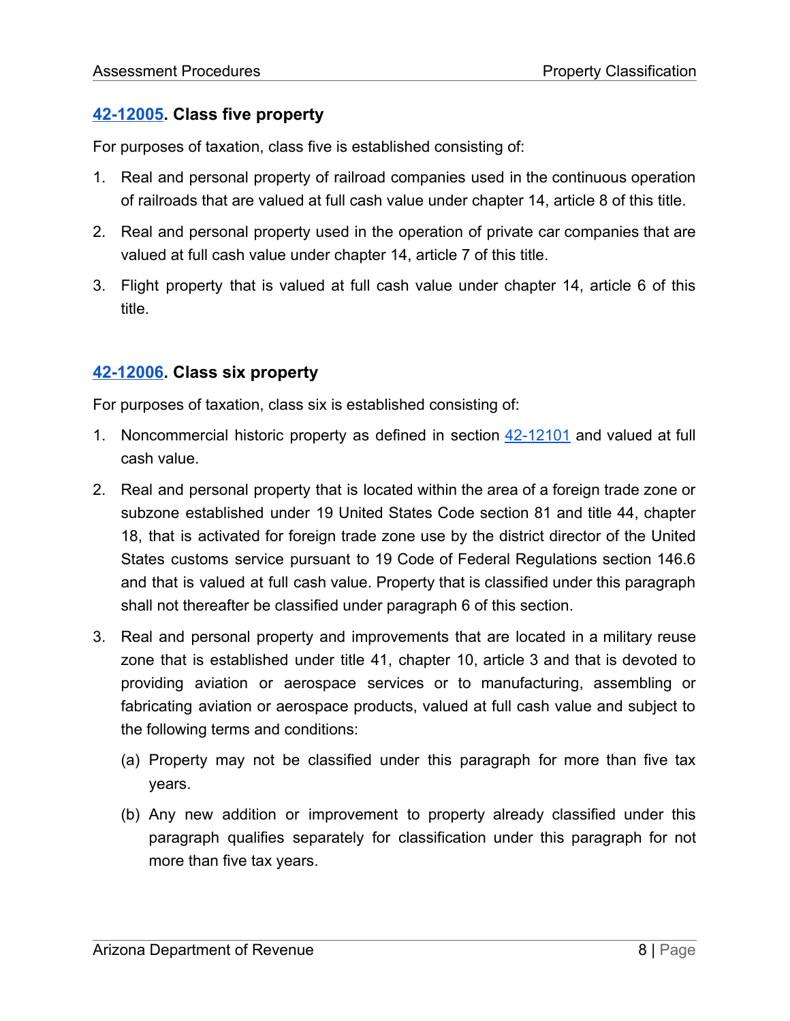### **[42-12005.](https://www.azleg.gov/viewdocument/?docName=https://www.azleg.gov/ars/42/12005.htm) Class five property**

For purposes of taxation, class five is established consisting of:

- 1. Real and personal property of railroad companies used in the continuous operation of railroads that are valued at full cash value under chapter 14, article 8 of this title.
- 2. Real and personal property used in the operation of private car companies that are valued at full cash value under chapter 14, article 7 of this title.
- 3. Flight property that is valued at full cash value under chapter 14, article 6 of this title.

### **[42-12006.](https://www.azleg.gov/viewdocument/?docName=https://www.azleg.gov/ars/42/12006.htm) Class six property**

For purposes of taxation, class six is established consisting of:

- 1. Noncommercial historic property as defined in section [42-12101](https://www.azleg.gov/viewDocument/?docName=http://www.azleg.gov/ars/42/12101.htm) and valued at full cash value.
- 2. Real and personal property that is located within the area of a foreign trade zone or subzone established under 19 United States Code section 81 and title 44, chapter 18, that is activated for foreign trade zone use by the district director of the United States customs service pursuant to 19 Code of Federal Regulations section 146.6 and that is valued at full cash value. Property that is classified under this paragraph shall not thereafter be classified under paragraph 6 of this section.
- 3. Real and personal property and improvements that are located in a military reuse zone that is established under title 41, chapter 10, article 3 and that is devoted to providing aviation or aerospace services or to manufacturing, assembling or fabricating aviation or aerospace products, valued at full cash value and subject to the following terms and conditions:
	- (a) Property may not be classified under this paragraph for more than five tax years.
	- (b) Any new addition or improvement to property already classified under this paragraph qualifies separately for classification under this paragraph for not more than five tax years.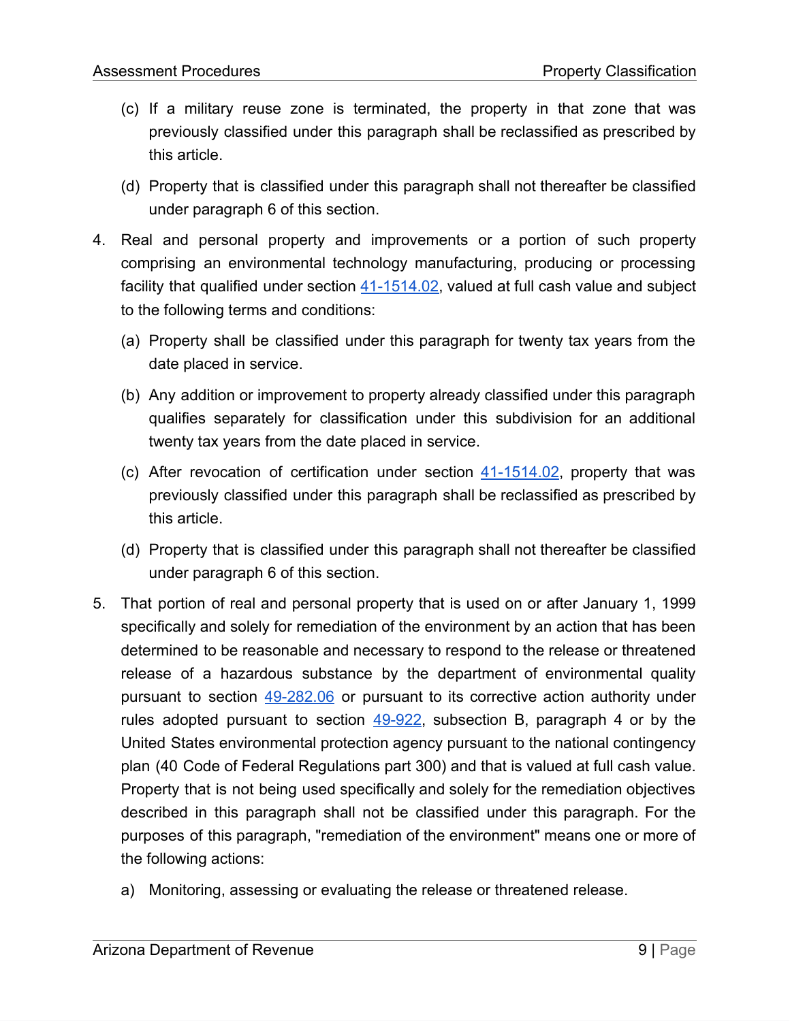- (c) If a military reuse zone is terminated, the property in that zone that was previously classified under this paragraph shall be reclassified as prescribed by this article.
- (d) Property that is classified under this paragraph shall not thereafter be classified under paragraph 6 of this section.
- 4. Real and personal property and improvements or a portion of such property comprising an environmental technology manufacturing, producing or processing facility that qualified under section  $41-1514.02$ , valued at full cash value and subject to the following terms and conditions:
	- (a) Property shall be classified under this paragraph for twenty tax years from the date placed in service.
	- (b) Any addition or improvement to property already classified under this paragraph qualifies separately for classification under this subdivision for an additional twenty tax years from the date placed in service.
	- (c) After revocation of certification under section  $41-1514.02$ , property that was previously classified under this paragraph shall be reclassified as prescribed by this article.
	- (d) Property that is classified under this paragraph shall not thereafter be classified under paragraph 6 of this section.
- 5. That portion of real and personal property that is used on or after January 1, 1999 specifically and solely for remediation of the environment by an action that has been determined to be reasonable and necessary to respond to the release or threatened release of a hazardous substance by the department of environmental quality pursuant to section [49-282.06](https://www.azleg.gov/viewDocument/?docName=http://www.azleg.gov/ars/49/00282-06.htm) or pursuant to its corrective action authority under rules adopted pursuant to section  $49-922$ , subsection B, paragraph 4 or by the United States environmental protection agency pursuant to the national contingency plan (40 Code of Federal Regulations part 300) and that is valued at full cash value. Property that is not being used specifically and solely for the remediation objectives described in this paragraph shall not be classified under this paragraph. For the purposes of this paragraph, "remediation of the environment" means one or more of the following actions:
	- a) Monitoring, assessing or evaluating the release or threatened release.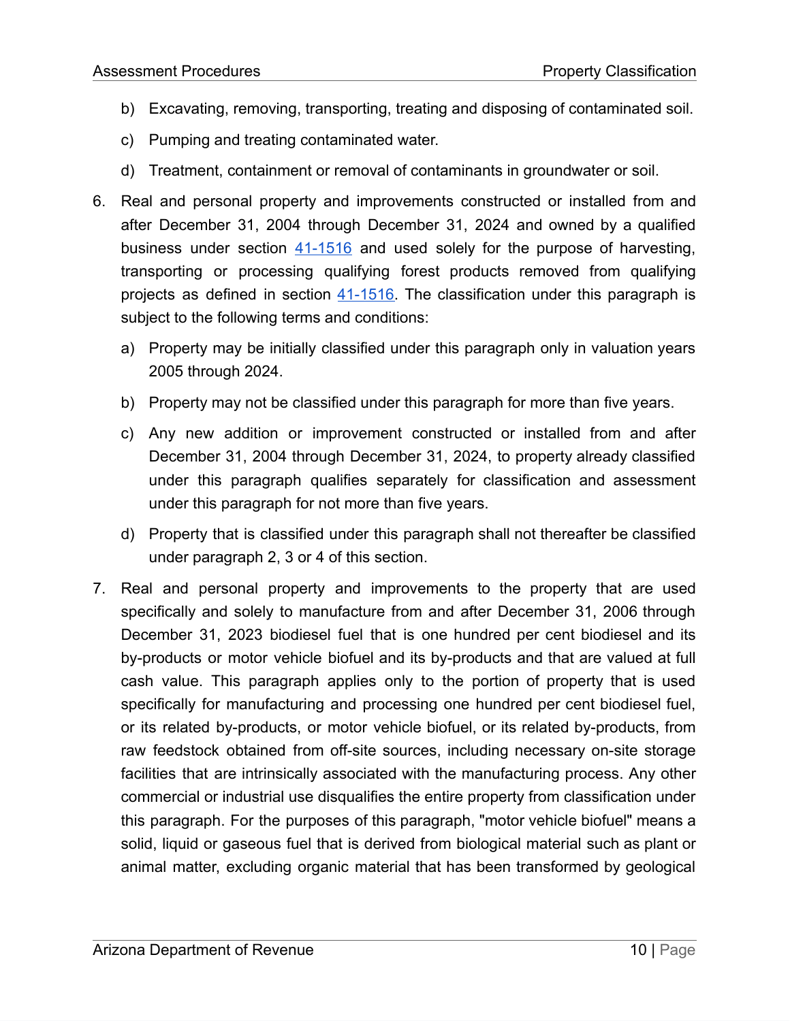- b) Excavating, removing, transporting, treating and disposing of contaminated soil.
- c) Pumping and treating contaminated water.
- d) Treatment, containment or removal of contaminants in groundwater or soil.
- 6. Real and personal property and improvements constructed or installed from and after December 31, 2004 through December 31, 2024 and owned by a qualified business under section  $41-1516$  and used solely for the purpose of harvesting, transporting or processing qualifying forest products removed from qualifying projects as defined in section  $41-1516$ . The classification under this paragraph is subject to the following terms and conditions:
	- a) Property may be initially classified under this paragraph only in valuation years 2005 through 2024.
	- b) Property may not be classified under this paragraph for more than five years.
	- c) Any new addition or improvement constructed or installed from and after December 31, 2004 through December 31, 2024, to property already classified under this paragraph qualifies separately for classification and assessment under this paragraph for not more than five years.
	- d) Property that is classified under this paragraph shall not thereafter be classified under paragraph 2, 3 or 4 of this section.
- 7. Real and personal property and improvements to the property that are used specifically and solely to manufacture from and after December 31, 2006 through December 31, 2023 biodiesel fuel that is one hundred per cent biodiesel and its by-products or motor vehicle biofuel and its by-products and that are valued at full cash value. This paragraph applies only to the portion of property that is used specifically for manufacturing and processing one hundred per cent biodiesel fuel, or its related by-products, or motor vehicle biofuel, or its related by-products, from raw feedstock obtained from off-site sources, including necessary on-site storage facilities that are intrinsically associated with the manufacturing process. Any other commercial or industrial use disqualifies the entire property from classification under this paragraph. For the purposes of this paragraph, "motor vehicle biofuel" means a solid, liquid or gaseous fuel that is derived from biological material such as plant or animal matter, excluding organic material that has been transformed by geological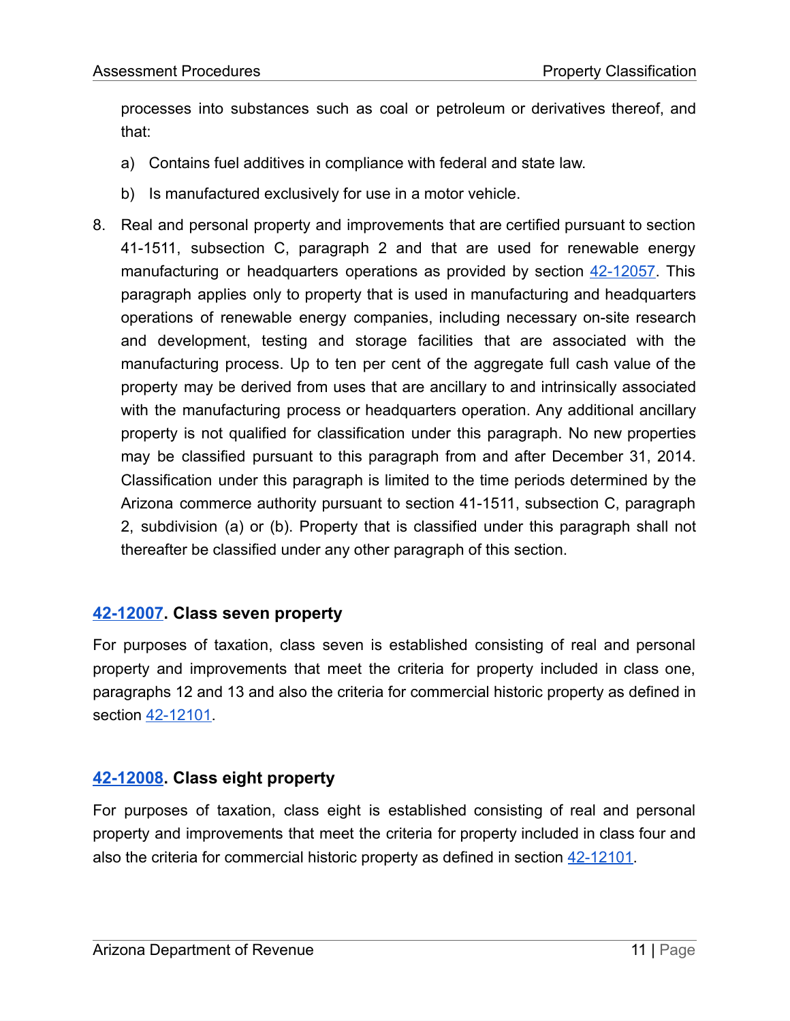processes into substances such as coal or petroleum or derivatives thereof, and that:

- a) Contains fuel additives in compliance with federal and state law.
- b) Is manufactured exclusively for use in a motor vehicle.
- 8. Real and personal property and improvements that are certified pursuant to section 41-1511, subsection C, paragraph 2 and that are used for renewable energy manufacturing or headquarters operations as provided by section [42-12057](https://www.azleg.gov/viewDocument/?docName=http://www.azleg.gov/ars/42/12057.htm). This paragraph applies only to property that is used in manufacturing and headquarters operations of renewable energy companies, including necessary on-site research and development, testing and storage facilities that are associated with the manufacturing process. Up to ten per cent of the aggregate full cash value of the property may be derived from uses that are ancillary to and intrinsically associated with the manufacturing process or headquarters operation. Any additional ancillary property is not qualified for classification under this paragraph. No new properties may be classified pursuant to this paragraph from and after December 31, 2014. Classification under this paragraph is limited to the time periods determined by the Arizona commerce authority pursuant to section 41-1511, subsection C, paragraph 2, subdivision (a) or (b). Property that is classified under this paragraph shall not thereafter be classified under any other paragraph of this section.

### **[42-12007.](https://www.azleg.gov/viewdocument/?docName=https://www.azleg.gov/ars/42/12007.htm) Class seven property**

For purposes of taxation, class seven is established consisting of real and personal property and improvements that meet the criteria for property included in class one, paragraphs 12 and 13 and also the criteria for commercial historic property as defined in section [42-12101](https://www.azleg.gov/viewDocument/?docName=http://www.azleg.gov/ars/42/12101.htm).

### **[42-12008.](https://www.azleg.gov/viewdocument/?docName=https://www.azleg.gov/ars/42/12008.htm) Class eight property**

For purposes of taxation, class eight is established consisting of real and personal property and improvements that meet the criteria for property included in class four and also the criteria for commercial historic property as defined in section [42-12101](https://www.azleg.gov/viewDocument/?docName=http://www.azleg.gov/ars/42/12101.htm).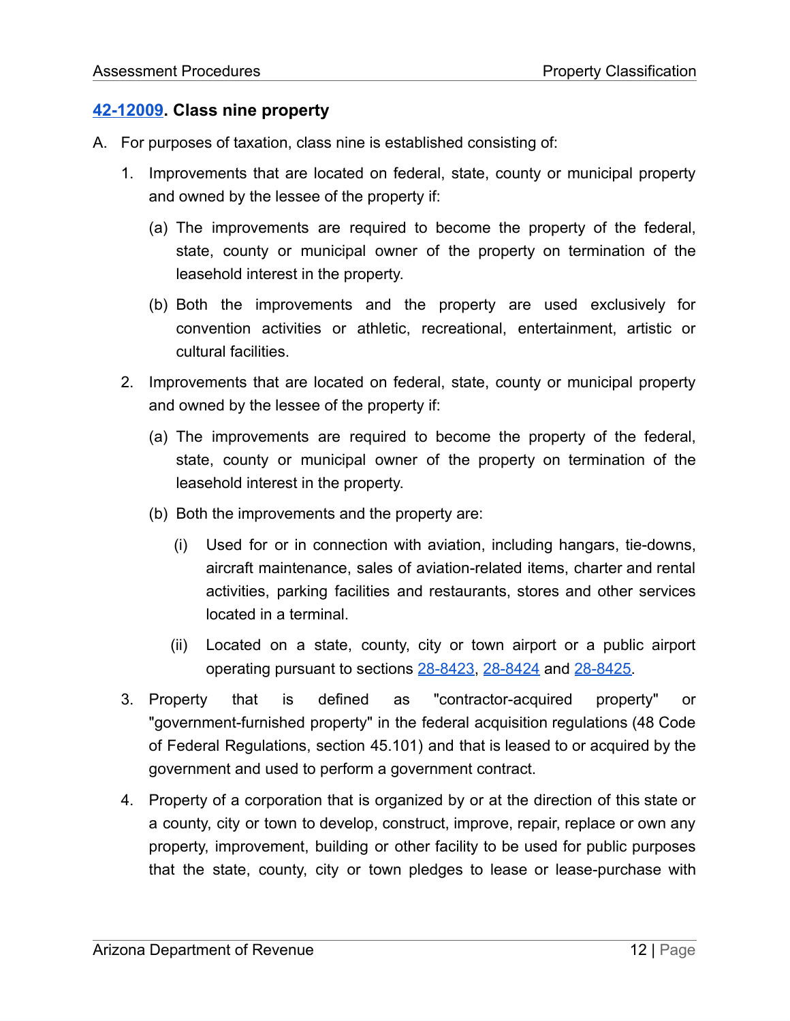### **[42-12009.](https://www.azleg.gov/viewdocument/?docName=https://www.azleg.gov/ars/42/12009.htm) Class nine property**

- A. For purposes of taxation, class nine is established consisting of:
	- 1. Improvements that are located on federal, state, county or municipal property and owned by the lessee of the property if:
		- (a) The improvements are required to become the property of the federal, state, county or municipal owner of the property on termination of the leasehold interest in the property.
		- (b) Both the improvements and the property are used exclusively for convention activities or athletic, recreational, entertainment, artistic or cultural facilities.
	- 2. Improvements that are located on federal, state, county or municipal property and owned by the lessee of the property if:
		- (a) The improvements are required to become the property of the federal, state, county or municipal owner of the property on termination of the leasehold interest in the property.
		- (b) Both the improvements and the property are:
			- (i) Used for or in connection with aviation, including hangars, tie-downs, aircraft maintenance, sales of aviation-related items, charter and rental activities, parking facilities and restaurants, stores and other services located in a terminal.
			- (ii) Located on a state, county, city or town airport or a public airport operating pursuant to sections [28-8423,](https://www.azleg.gov/viewDocument/?docName=http://www.azleg.gov/ars/28/08423.htm) [28-8424](https://www.azleg.gov/viewDocument/?docName=http://www.azleg.gov/ars/28/08424.htm) and [28-8425](https://www.azleg.gov/viewDocument/?docName=http://www.azleg.gov/ars/28/08425.htm).
	- 3. Property that is defined as "contractor-acquired property" or "government-furnished property" in the federal acquisition regulations (48 Code of Federal Regulations, section 45.101) and that is leased to or acquired by the government and used to perform a government contract.
	- 4. Property of a corporation that is organized by or at the direction of this state or a county, city or town to develop, construct, improve, repair, replace or own any property, improvement, building or other facility to be used for public purposes that the state, county, city or town pledges to lease or lease-purchase with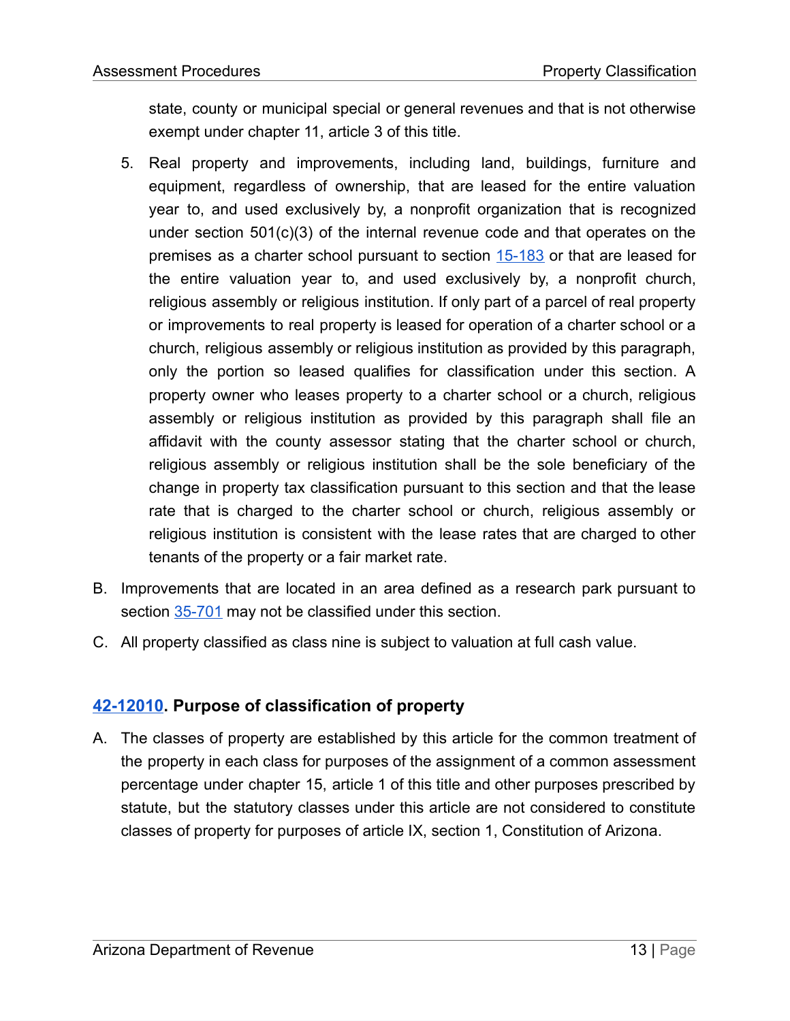state, county or municipal special or general revenues and that is not otherwise exempt under chapter 11, article 3 of this title.

- 5. Real property and improvements, including land, buildings, furniture and equipment, regardless of ownership, that are leased for the entire valuation year to, and used exclusively by, a nonprofit organization that is recognized under section 501(c)(3) of the internal revenue code and that operates on the premises as a charter school pursuant to section [15-183](https://www.azleg.gov/viewDocument/?docName=http://www.azleg.gov/ars/15/00183.htm) or that are leased for the entire valuation year to, and used exclusively by, a nonprofit church, religious assembly or religious institution. If only part of a parcel of real property or improvements to real property is leased for operation of a charter school or a church, religious assembly or religious institution as provided by this paragraph, only the portion so leased qualifies for classification under this section. A property owner who leases property to a charter school or a church, religious assembly or religious institution as provided by this paragraph shall file an affidavit with the county assessor stating that the charter school or church, religious assembly or religious institution shall be the sole beneficiary of the change in property tax classification pursuant to this section and that the lease rate that is charged to the charter school or church, religious assembly or religious institution is consistent with the lease rates that are charged to other tenants of the property or a fair market rate.
- B. Improvements that are located in an area defined as a research park pursuant to section [35-701](https://www.azleg.gov/viewDocument/?docName=http://www.azleg.gov/ars/35/00701.htm) may not be classified under this section.
- C. All property classified as class nine is subject to valuation at full cash value.

### **[42-12010.](https://www.azleg.gov/viewdocument/?docName=https://www.azleg.gov/ars/42/12010.htm) Purpose of classification of property**

A. The classes of property are established by this article for the common treatment of the property in each class for purposes of the assignment of a common assessment percentage under chapter 15, article 1 of this title and other purposes prescribed by statute, but the statutory classes under this article are not considered to constitute classes of property for purposes of article IX, section 1, Constitution of Arizona.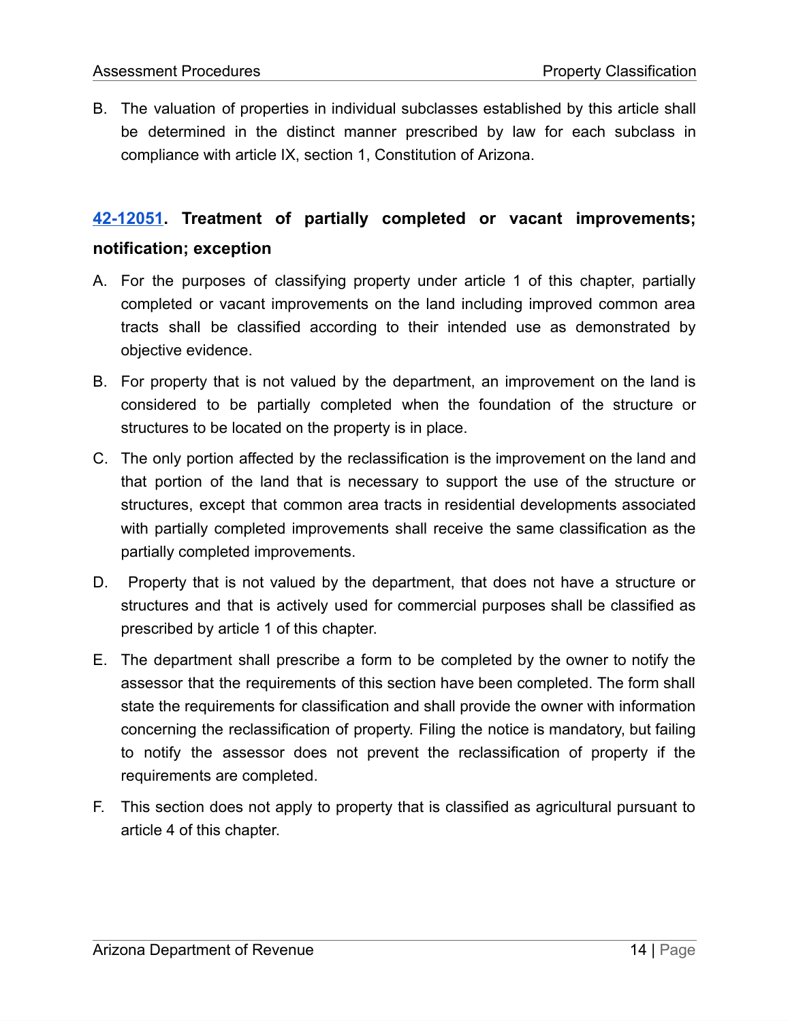B. The valuation of properties in individual subclasses established by this article shall be determined in the distinct manner prescribed by law for each subclass in compliance with article IX, section 1, Constitution of Arizona.

# **[42-12051.](https://www.azleg.gov/viewdocument/?docName=https://www.azleg.gov/ars/42/12051.htm) Treatment of partially completed or vacant improvements; notification; exception**

- A. For the purposes of classifying property under article 1 of this chapter, partially completed or vacant improvements on the land including improved common area tracts shall be classified according to their intended use as demonstrated by objective evidence.
- B. For property that is not valued by the department, an improvement on the land is considered to be partially completed when the foundation of the structure or structures to be located on the property is in place.
- C. The only portion affected by the reclassification is the improvement on the land and that portion of the land that is necessary to support the use of the structure or structures, except that common area tracts in residential developments associated with partially completed improvements shall receive the same classification as the partially completed improvements.
- D. Property that is not valued by the department, that does not have a structure or structures and that is actively used for commercial purposes shall be classified as prescribed by article 1 of this chapter.
- E. The department shall prescribe a form to be completed by the owner to notify the assessor that the requirements of this section have been completed. The form shall state the requirements for classification and shall provide the owner with information concerning the reclassification of property. Filing the notice is mandatory, but failing to notify the assessor does not prevent the reclassification of property if the requirements are completed.
- F. This section does not apply to property that is classified as agricultural pursuant to article 4 of this chapter.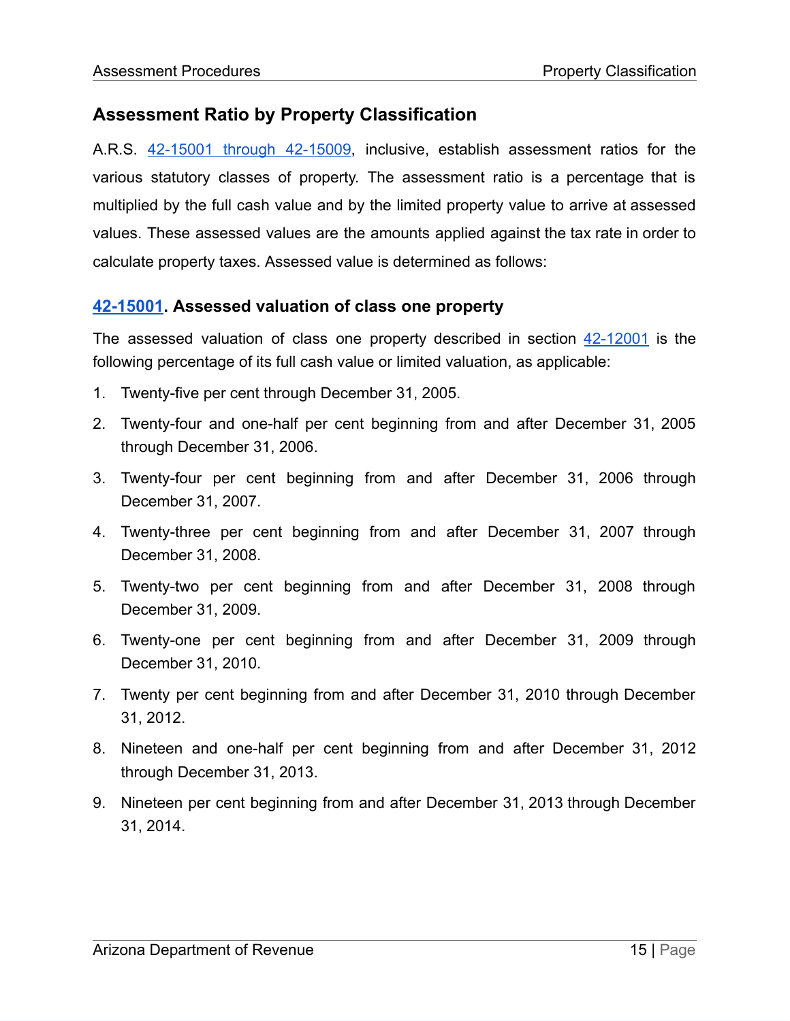# **Assessment Ratio by Property Classification**

A.R.S. 42-15001 through [42-15009](https://www.azleg.gov/viewDocument/?docName=http://www.azleg.gov/ars/42/15001.htm), inclusive, establish assessment ratios for the various statutory classes of property. The assessment ratio is a percentage that is multiplied by the full cash value and by the limited property value to arrive at assessed values. These assessed values are the amounts applied against the tax rate in order to calculate property taxes. Assessed value is determined as follows:

### **[42-15001.](https://www.azleg.gov/viewdocument/?docName=https://www.azleg.gov/ars/42/15001.htm) Assessed valuation of class one property**

The assessed valuation of class one property described in section [42-12001](https://www.azleg.gov/viewDocument/?docName=http://www.azleg.gov/ars/42/12001.htm) is the following percentage of its full cash value or limited valuation, as applicable:

- 1. Twenty-five per cent through December 31, 2005.
- 2. Twenty-four and one-half per cent beginning from and after December 31, 2005 through December 31, 2006.
- 3. Twenty-four per cent beginning from and after December 31, 2006 through December 31, 2007.
- 4. Twenty-three per cent beginning from and after December 31, 2007 through December 31, 2008.
- 5. Twenty-two per cent beginning from and after December 31, 2008 through December 31, 2009.
- 6. Twenty-one per cent beginning from and after December 31, 2009 through December 31, 2010.
- 7. Twenty per cent beginning from and after December 31, 2010 through December 31, 2012.
- 8. Nineteen and one-half per cent beginning from and after December 31, 2012 through December 31, 2013.
- 9. Nineteen per cent beginning from and after December 31, 2013 through December 31, 2014.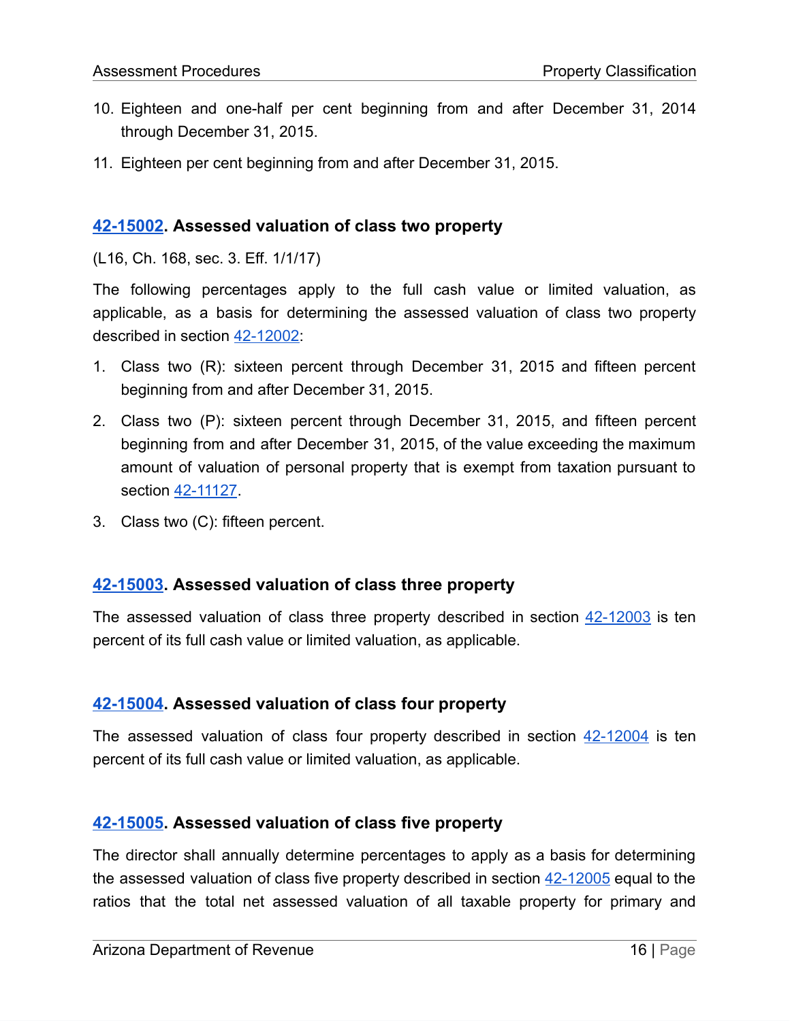- 10. Eighteen and one-half per cent beginning from and after December 31, 2014 through December 31, 2015.
- 11. Eighteen per cent beginning from and after December 31, 2015.

### **[42-15002.](https://www.azleg.gov/viewdocument/?docName=https://www.azleg.gov/ars/42/15002.htm) Assessed valuation of class two property**

(L16, Ch. 168, sec. 3. Eff. 1/1/17)

The following percentages apply to the full cash value or limited valuation, as applicable, as a basis for determining the assessed valuation of class two property described in section [42-12002](https://www.azleg.gov/viewDocument/?docName=http://www.azleg.gov/ars/42/12002.htm):

- 1. Class two (R): sixteen percent through December 31, 2015 and fifteen percent beginning from and after December 31, 2015.
- 2. Class two (P): sixteen percent through December 31, 2015, and fifteen percent beginning from and after December 31, 2015, of the value exceeding the maximum amount of valuation of personal property that is exempt from taxation pursuant to section [42-11127](https://www.azleg.gov/viewDocument/?docName=http://www.azleg.gov/ars/42/11127.htm).
- 3. Class two (C): fifteen percent.

### **[42-15003.](https://www.azleg.gov/viewdocument/?docName=https://www.azleg.gov/ars/42/15003.htm) Assessed valuation of class three property**

The assessed valuation of class three property described in section [42-12003](https://www.azleg.gov/viewdocument/?docName=https://www.azleg.gov/ars/42/12003.htm) is ten percent of its full cash value or limited valuation, as applicable.

### **[42-15004.](https://www.azleg.gov/viewdocument/?docName=https://www.azleg.gov/ars/42/15004.htm) Assessed valuation of class four property**

The assessed valuation of class four property described in section  $42-12004$  is ten percent of its full cash value or limited valuation, as applicable.

### **[42-15005.](https://www.azleg.gov/viewdocument/?docName=https://www.azleg.gov/ars/42/15005.htm) Assessed valuation of class five property**

The director shall annually determine percentages to apply as a basis for determining the assessed valuation of class five property described in section  $42-12005$  equal to the ratios that the total net assessed valuation of all taxable property for primary and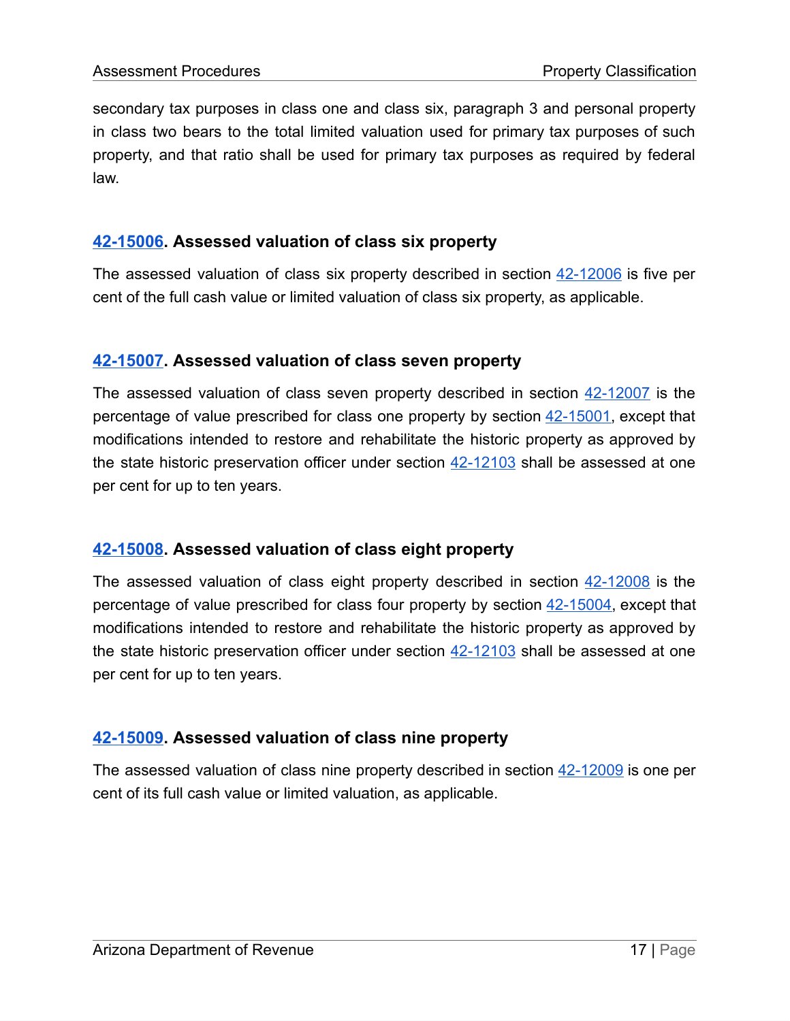secondary tax purposes in class one and class six, paragraph 3 and personal property in class two bears to the total limited valuation used for primary tax purposes of such property, and that ratio shall be used for primary tax purposes as required by federal law.

### **[42-15006.](https://www.azleg.gov/viewdocument/?docName=https://www.azleg.gov/ars/42/15006.htm) Assessed valuation of class six property**

The assessed valuation of class six property described in section  $42-12006$  is five per cent of the full cash value or limited valuation of class six property, as applicable.

### **[42-15007.](https://www.azleg.gov/viewdocument/?docName=https://www.azleg.gov/ars/42/15007.htm) Assessed valuation of class seven property**

The assessed valuation of class seven property described in section [42-12007](https://www.azleg.gov/viewDocument/?docName=http://www.azleg.gov/ars/42/12007.htm) is the percentage of value prescribed for class one property by section [42-15001,](https://www.azleg.gov/viewdocument/?docName=https://www.azleg.gov/ars/42/15001.htm) except that modifications intended to restore and rehabilitate the historic property as approved by the state historic preservation officer under section [42-12103](https://www.azleg.gov/viewDocument/?docName=http://www.azleg.gov/ars/42/12103.htm) shall be assessed at one per cent for up to ten years.

### **[42-15008.](https://www.azleg.gov/viewdocument/?docName=https://www.azleg.gov/ars/42/15008.htm) Assessed valuation of class eight property**

The assessed valuation of class eight property described in section [42-12008](https://www.azleg.gov/viewDocument/?docName=http://www.azleg.gov/ars/42/12008.htm) is the percentage of value prescribed for class four property by section [42-15004](https://www.azleg.gov/viewDocument/?docName=http://www.azleg.gov/ars/42/15004.htm), except that modifications intended to restore and rehabilitate the historic property as approved by the state historic preservation officer under section  $42-12103$  shall be assessed at one per cent for up to ten years.

### **[42-15009.](https://www.azleg.gov/viewdocument/?docName=https://www.azleg.gov/ars/42/15009.htm) Assessed valuation of class nine property**

The assessed valuation of class nine property described in section  $42-12009$  is one per cent of its full cash value or limited valuation, as applicable.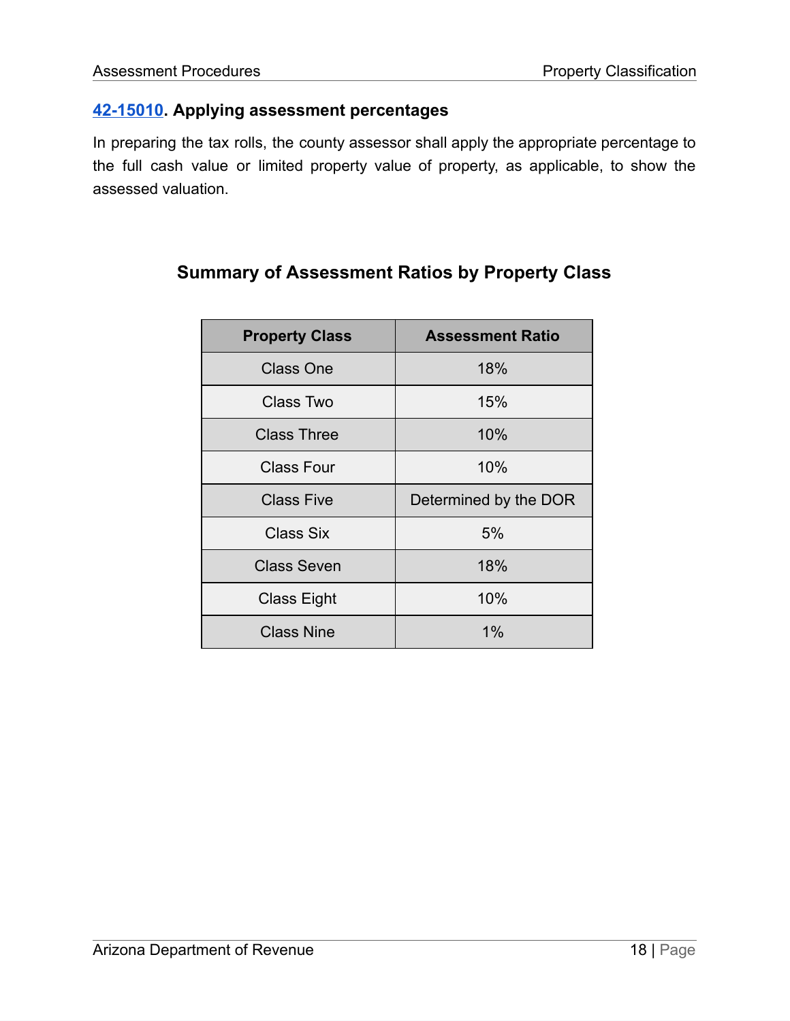### **[42-15010.](https://www.azleg.gov/viewdocument/?docName=https://www.azleg.gov/ars/42/15010.htm) Applying assessment percentages**

In preparing the tax rolls, the county assessor shall apply the appropriate percentage to the full cash value or limited property value of property, as applicable, to show the assessed valuation.

| <b>Property Class</b> | <b>Assessment Ratio</b> |
|-----------------------|-------------------------|
| <b>Class One</b>      | 18%                     |
| Class Two             | 15%                     |
| <b>Class Three</b>    | 10%                     |
| <b>Class Four</b>     | 10%                     |
| <b>Class Five</b>     | Determined by the DOR   |
| Class Six             | 5%                      |
| <b>Class Seven</b>    | 18%                     |
| <b>Class Eight</b>    | 10%                     |
| <b>Class Nine</b>     | 1%                      |

# **Summary of Assessment Ratios by Property Class**